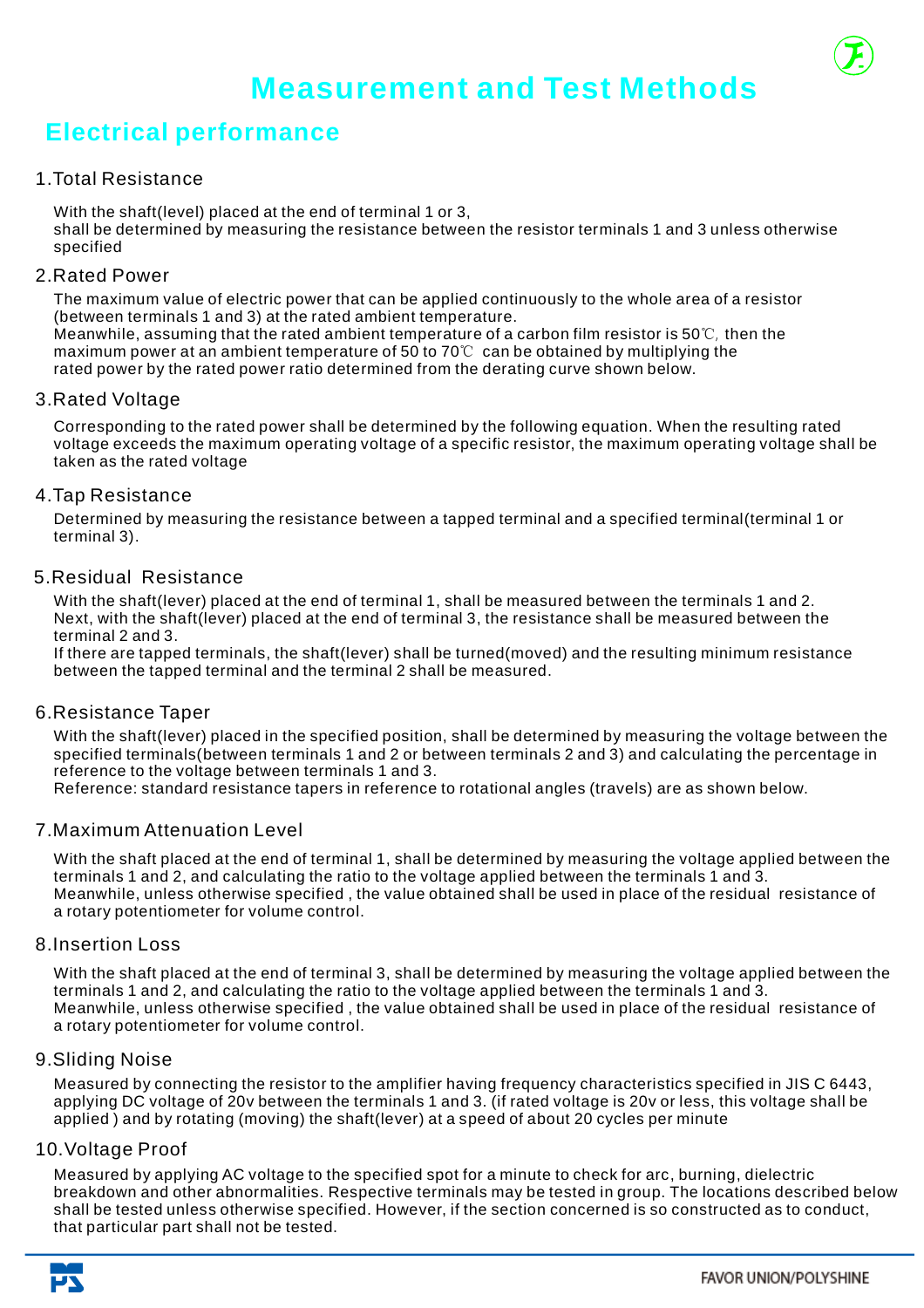# **Electrical performance**

## 1.Total Resistance

With the shaft(level) placed at the end of terminal 1 or 3, shall be determined by measuring the resistance between the resistor terminals 1 and 3 unless otherwise specified

## 2.Rated Power

The maximum value of electric power that can be applied continuously to the whole area of a resistor (between terminals 1 and 3) at the rated ambient temperature. Meanwhile, assuming that the rated ambient temperature of a carbon film resistor is 50℃ , then the maximum power at an ambient temperature of 50 to 70 ℃ can be obtained by multiplying the rated power by the rated power ratio determined from the derating curve shown below.

## 3.Rated Voltage

Corresponding to the rated power shall be determined by the following equation. When the resulting rated voltage exceeds the maximum operating voltage of a specific resistor, the maximum operating voltage shall be taken as the rated voltage

## 4.Tap Resistance

Determined by measuring the resistance between a tapped terminal and a specified terminal(terminal 1 or terminal 3).

## 5.Residual Resistance

With the shaft(lever) placed at the end of terminal 1, shall be measured between the terminals 1 and 2. Next, with the shaft(lever) placed at the end of terminal 3, the resistance shall be measured between the terminal 2 and 3.

If there are tapped terminals, the shaft(lever) shall be turned(moved) and the resulting minimum resistance between the tapped terminal and the terminal 2 shall be measured.

## 6.Resistance Taper

With the shaft(lever) placed in the specified position, shall be determined by measuring the voltage between the specified terminals(between terminals 1 and 2 or between terminals 2 and 3) and calculating the percentage in reference to the voltage between terminals 1 and 3.

Reference: standard resistance tapers in reference to rotational angles (travels) are as shown below.

## 7.Maximum Attenuation Level

With the shaft placed at the end of terminal 1, shall be determined by measuring the voltage applied between the terminals 1 and 2, and calculating the ratio to the voltage applied between the terminals 1 and 3. Meanwhile, unless otherwise specified , the value obtained shall be used in place of the residual resistance of a rotary potentiometer for volume control.

## 8.Insertion Loss

With the shaft placed at the end of terminal 3, shall be determined by measuring the voltage applied between the terminals 1 and 2, and calculating the ratio to the voltage applied between the terminals 1 and 3. Meanwhile, unless otherwise specified , the value obtained shall be used in place of the residual resistance of a rotary potentiometer for volume control.

## 9.Sliding Noise

Measured by connecting the resistor to the amplifier having frequency characteristics specified in JIS C 6443, applying DC voltage of 20v between the terminals 1 and 3. (if rated voltage is 20v or less, this voltage shall be applied ) and by rotating (moving) the shaft(lever) at a speed of about 20 cycles per minute

## 10.Voltage Proof

Measured by applying AC voltage to the specified spot for a minute to check for arc, burning, dielectric breakdown and other abnormalities. Respective terminals may be tested in group. The locations described below shall be tested unless otherwise specified. However, if the section concerned is so constructed as to conduct, that particular part shall not be tested.